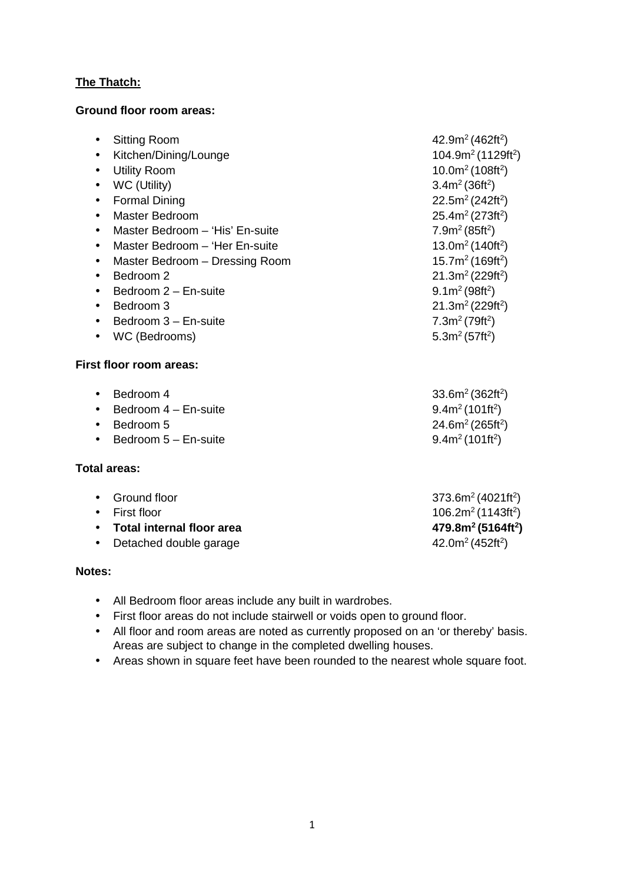### **The Thatch:**

#### **Ground floor room areas:**

| <b>Sitting Room</b><br>$\bullet$             | 42.9m <sup>2</sup> (462ft <sup>2</sup> )   |
|----------------------------------------------|--------------------------------------------|
| Kitchen/Dining/Lounge<br>$\bullet$           | 104.9m <sup>2</sup> (1129ft <sup>2</sup> ) |
| <b>Utility Room</b><br>$\bullet$             | 10.0 $m^2$ (108ft <sup>2</sup> )           |
| WC (Utility)<br>$\bullet$                    | 3.4m <sup>2</sup> (36ft <sup>2</sup> )     |
| <b>Formal Dining</b><br>$\bullet$            | 22.5m <sup>2</sup> (242ft <sup>2</sup> )   |
| <b>Master Bedroom</b><br>$\bullet$           | 25.4 $m^2$ (273ft <sup>2</sup> )           |
| Master Bedroom - 'His' En-suite<br>$\bullet$ | 7.9m <sup>2</sup> (85ft <sup>2</sup> )     |
| Master Bedroom - 'Her En-suite<br>$\bullet$  | 13.0 $m^2$ (140ft <sup>2</sup> )           |
| Master Bedroom - Dressing Room<br>$\bullet$  | 15.7m <sup>2</sup> (169ft <sup>2</sup> )   |
| Bedroom 2<br>$\bullet$                       | 21.3m <sup>2</sup> (229ft <sup>2</sup> )   |
| Bedroom 2 - En-suite<br>$\bullet$            | $9.1m^2(98ft^2)$                           |
| Bedroom 3                                    | 21.3 $m^2$ (229ft <sup>2</sup> )           |
| Bedroom 3 - En-suite                         | 7.3m <sup>2</sup> (79ft <sup>2</sup> )     |
| WC (Bedrooms)<br>$\bullet$                   | 5.3 $m^2$ (57ft <sup>2</sup> )             |
| First floor room areas:                      |                                            |
| Bedroom 4<br>$\bullet$                       | 33.6m <sup>2</sup> (362ft <sup>2</sup> )   |
| Bedroom 4 - En-suite                         | $9.4m^2(101ft^2)$                          |
| Bedroom 5<br>$\bullet$                       | 24.6 $m^2$ (265ft <sup>2</sup> )           |
| Bedroom 5 - En-suite<br>$\bullet$            | $9.4m2$ (101ft <sup>2</sup> )              |
| <b>Total areas:</b>                          |                                            |
| Ground floor<br>$\bullet$                    | $373.6m2 (4021ft2)$                        |
| First floor                                  | 106.2 $m^2$ (1143ft <sup>2</sup> )         |
| <b>Total internal floor area</b>             | 479.8m <sup>2</sup> (5164ft <sup>2</sup> ) |

• Detached double garage

### **Notes:**

- All Bedroom floor areas include any built in wardrobes.
- First floor areas do not include stairwell or voids open to ground floor.
- All floor and room areas are noted as currently proposed on an 'or thereby' basis. Areas are subject to change in the completed dwelling houses.

42.0 $m^2$  (452ft<sup>2</sup>)

• Areas shown in square feet have been rounded to the nearest whole square foot.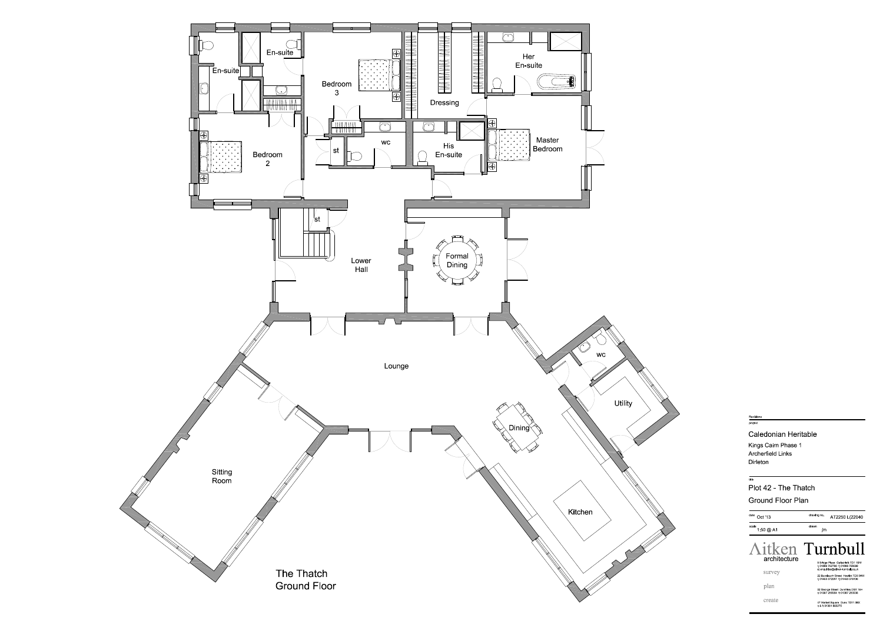

### Revisions project

### **Caledonian Heritable**

Kings Cairn Phase 1 **Archerfield Links** Dirleton

# Plot 42 - The Thatch **Ground Floor Plan**

| date<br>Oct '13        | drawing no.<br>AT2250 L(22040                                                                                                                                                                     |
|------------------------|---------------------------------------------------------------------------------------------------------------------------------------------------------------------------------------------------|
| scale<br>1 50 @ A1     | drawn<br>jm                                                                                                                                                                                       |
| architecture<br>survey | Aitken Turnbull<br>9 Bridge Place Galashiels TD1 1SN<br>t 01896 752760 f 01896 759399<br>e enguirles@altken-turnbull.co.uk<br>22 Buccleuch Street Hawlck TD9 0HW<br>t 01450 372297 f 01450 378106 |
| plan                   | 32 George Street Dumfries DG1 1EH<br>t 01387 256964 f 01387 250938                                                                                                                                |
| create                 | 47 Market Square Duns TD11 3BX<br>t & f 01361 883275                                                                                                                                              |